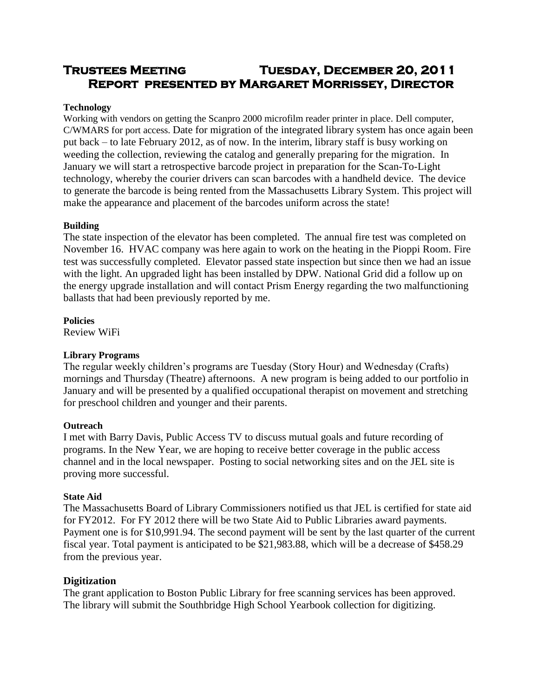# **Trustees Meeting Tuesday, December 20, 2011 Report presented by Margaret Morrissey, Director**

# **Technology**

Working with vendors on getting the Scanpro 2000 microfilm reader printer in place. Dell computer, C/WMARS for port access. Date for migration of the integrated library system has once again been put back – to late February 2012, as of now. In the interim, library staff is busy working on weeding the collection, reviewing the catalog and generally preparing for the migration. In January we will start a retrospective barcode project in preparation for the Scan-To-Light technology, whereby the courier drivers can scan barcodes with a handheld device. The device to generate the barcode is being rented from the Massachusetts Library System. This project will make the appearance and placement of the barcodes uniform across the state!

# **Building**

The state inspection of the elevator has been completed. The annual fire test was completed on November 16. HVAC company was here again to work on the heating in the Pioppi Room. Fire test was successfully completed. Elevator passed state inspection but since then we had an issue with the light. An upgraded light has been installed by DPW. National Grid did a follow up on the energy upgrade installation and will contact Prism Energy regarding the two malfunctioning ballasts that had been previously reported by me.

**Policies**

Review WiFi

## **Library Programs**

The regular weekly children's programs are Tuesday (Story Hour) and Wednesday (Crafts) mornings and Thursday (Theatre) afternoons. A new program is being added to our portfolio in January and will be presented by a qualified occupational therapist on movement and stretching for preschool children and younger and their parents.

## **Outreach**

I met with Barry Davis, Public Access TV to discuss mutual goals and future recording of programs. In the New Year, we are hoping to receive better coverage in the public access channel and in the local newspaper. Posting to social networking sites and on the JEL site is proving more successful.

## **State Aid**

The Massachusetts Board of Library Commissioners notified us that JEL is certified for state aid for FY2012. For FY 2012 there will be two State Aid to Public Libraries award payments. Payment one is for \$10,991.94. The second payment will be sent by the last quarter of the current fiscal year. Total payment is anticipated to be \$21,983.88, which will be a decrease of \$458.29 from the previous year.

## **Digitization**

The grant application to Boston Public Library for free scanning services has been approved. The library will submit the Southbridge High School Yearbook collection for digitizing.